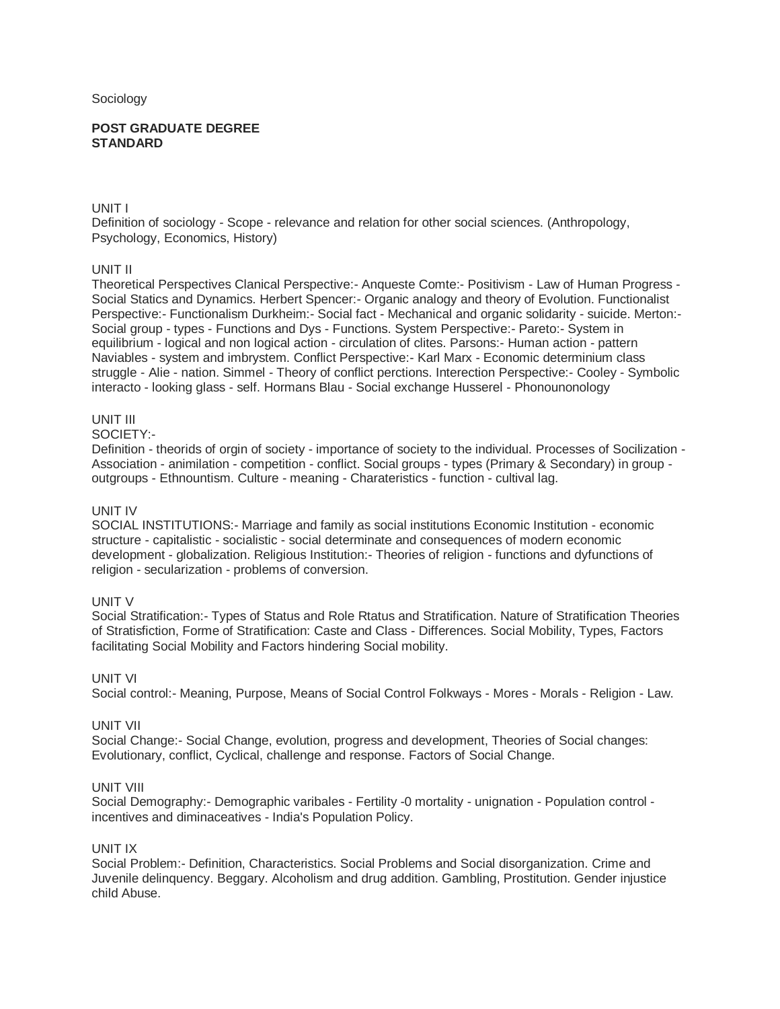### Sociology

#### **POST GRADUATE DEGREE STANDARD**

# UNIT I

Definition of sociology - Scope - relevance and relation for other social sciences. (Anthropology, Psychology, Economics, History)

# UNIT II

Theoretical Perspectives Clanical Perspective:- Anqueste Comte:- Positivism - Law of Human Progress - Social Statics and Dynamics. Herbert Spencer:- Organic analogy and theory of Evolution. Functionalist Perspective:- Functionalism Durkheim:- Social fact - Mechanical and organic solidarity - suicide. Merton:- Social group - types - Functions and Dys - Functions. System Perspective:- Pareto:- System in equilibrium - logical and non logical action - circulation of clites. Parsons:- Human action - pattern Naviables - system and imbrystem. Conflict Perspective:- Karl Marx - Economic determinium class struggle - Alie - nation. Simmel - Theory of conflict perctions. Interection Perspective:- Cooley - Symbolic interacto - looking glass - self. Hormans Blau - Social exchange Husserel - Phonounonology

# UNIT III

### SOCIETY:-

Definition - theorids of orgin of society - importance of society to the individual. Processes of Socilization - Association - animilation - competition - conflict. Social groups - types (Primary & Secondary) in group outgroups - Ethnountism. Culture - meaning - Charateristics - function - cultival lag.

# UNIT IV

SOCIAL INSTITUTIONS:- Marriage and family as social institutions Economic Institution - economic structure - capitalistic - socialistic - social determinate and consequences of modern economic development - globalization. Religious Institution:- Theories of religion - functions and dyfunctions of religion - secularization - problems of conversion.

# UNIT V

Social Stratification:- Types of Status and Role Rtatus and Stratification. Nature of Stratification Theories of Stratisfiction, Forme of Stratification: Caste and Class - Differences. Social Mobility, Types, Factors facilitating Social Mobility and Factors hindering Social mobility.

# UNIT VI

Social control:- Meaning, Purpose, Means of Social Control Folkways - Mores - Morals - Religion - Law.

# UNIT VII

Social Change:- Social Change, evolution, progress and development, Theories of Social changes: Evolutionary, conflict, Cyclical, challenge and response. Factors of Social Change.

#### UNIT VIII

Social Demography:- Demographic varibales - Fertility -0 mortality - unignation - Population control incentives and diminaceatives - India's Population Policy.

# UNIT IX

Social Problem:- Definition, Characteristics. Social Problems and Social disorganization. Crime and Juvenile delinquency. Beggary. Alcoholism and drug addition. Gambling, Prostitution. Gender injustice child Abuse.